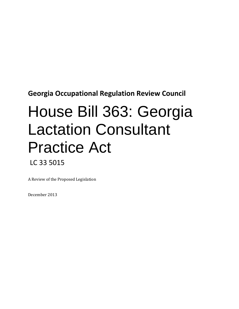**Georgia Occupational Regulation Review Council**

# House Bill 363: Georgia Lactation Consultant Practice Act LC 33 5015

A Review of the Proposed Legislation

December 2013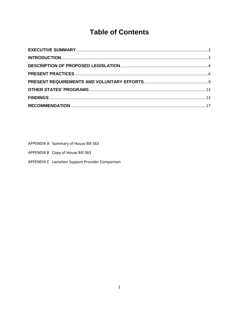# **Table of Contents**

| APPENDIX A Summary of House Bill 363 |  |  |
|--------------------------------------|--|--|

APPENDIX B Copy of House Bill 363

APPENDIX C Lactation Support Provider Comparison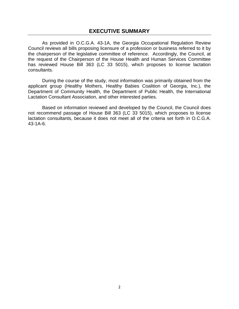<span id="page-2-0"></span>As provided in O.C.G.A. 43-1A, the Georgia Occupational Regulation Review Council reviews all bills proposing licensure of a profession or business referred to it by the chairperson of the legislative committee of reference. Accordingly, the Council, at the request of the Chairperson of the House Health and Human Services Committee has reviewed House Bill 363 (LC 33 5015), which proposes to license lactation consultants.

During the course of the study, most information was primarily obtained from the applicant group (Healthy Mothers, Healthy Babies Coalition of Georgia, Inc.), the Department of Community Health, the Department of Public Health, the International Lactation Consultant Association, and other interested parties.

Based on information reviewed and developed by the Council, the Council does not recommend passage of House Bill 363 (LC 33 5015), which proposes to license lactation consultants, because it does not meet all of the criteria set forth in O.C.G.A. 43-1A-6.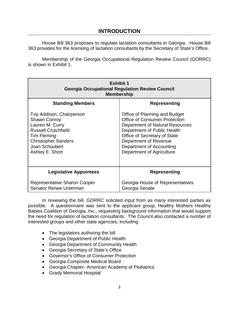<span id="page-3-0"></span>House Bill 363 proposes to regulate lactation consultants in Georgia. House Bill 363 provides for the licensing of lactation consultants by the Secretary of State's Office.

Membership of the Georgia Occupational Regulation Review Council (GORRC) is shown in Exhibit 1.

| <b>Exhibit 1</b><br><b>Georgia Occupational Regulation Review Council</b><br><b>Membership</b>                                                                                      |                                                                                                                                                                                                                                                           |  |
|-------------------------------------------------------------------------------------------------------------------------------------------------------------------------------------|-----------------------------------------------------------------------------------------------------------------------------------------------------------------------------------------------------------------------------------------------------------|--|
| <b>Standing Members</b>                                                                                                                                                             | Representing                                                                                                                                                                                                                                              |  |
| Trip Addison, Chairperson<br><b>Shawn Conroy</b><br>Lauren M. Curry<br><b>Russell Crutchfield</b><br>Tim Fleming<br><b>Christopher Sanders</b><br>Joan Schoubert<br>Ashley E. Short | Office of Planning and Budget<br><b>Office of Consumer Protection</b><br>Department of Natural Resources<br>Department of Public Health<br>Office of Secretary of State<br>Department of Revenue<br>Department of Accounting<br>Department of Agriculture |  |
| <b>Legislative Appointees</b>                                                                                                                                                       | <b>Representing</b>                                                                                                                                                                                                                                       |  |
| Representative Sharon Cooper<br>Senator Renee Unterman                                                                                                                              | Georgia House of Representatives<br>Georgia Senate                                                                                                                                                                                                        |  |

In reviewing the bill, GORRC solicited input from as many interested parties as possible. A questionnaire was sent to the applicant group, Healthy Mothers Healthy Babies Coalition of Georgia, Inc., requesting background information that would support the need for regulation of lactation consultants. The Council also contacted a number of interested groups and other state agencies, including:

- The legislators authoring the bill
- Georgia Department of Public Health
- Georgia Department of Community Health
- Georgia Secretary of State's Office
- Governor's Office of Consumer Protection
- Georgia Composite Medical Board
- Georgia Chapter- American Academy of Pediatrics
- Grady Memorial Hospital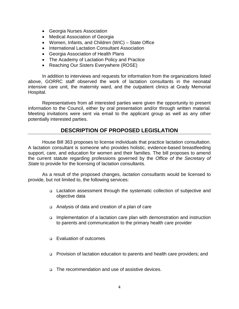- Georgia Nurses Association
- Medical Association of Georgia
- Women, Infants, and Children (WIC) State Office
- International Lactation Consultant Association
- Georgia Association of Health Plans
- The Academy of Lactation Policy and Practice
- Reaching Our Sisters Everywhere (ROSE)

In addition to interviews and requests for information from the organizations listed above, GORRC staff observed the work of lactation consultants in the neonatal intensive care unit, the maternity ward, and the outpatient clinics at Grady Memorial Hospital.

Representatives from all interested parties were given the opportunity to present information to the Council, either by oral presentation and/or through written material. Meeting invitations were sent via email to the applicant group as well as any other potentially interested parties.

## **DESCRIPTION OF PROPOSED LEGISLATION**

<span id="page-4-0"></span>House Bill 363 proposes to license individuals that practice lactation consultation. A lactation consultant is someone who provides holistic, evidence-based breastfeeding support, care, and education for women and their families. The bill proposes to amend the current statute regarding professions governed by the *Office of the Secretary of State* to provide for the licensing of lactation consultants*.* 

As a result of the proposed changes, *lactation consultants* would be licensed to provide, but not limited to, the following services:

- □ Lactation assessment through the systematic collection of subjective and objective data
- Analysis of data and creation of a plan of care
- Implementation of a lactation care plan with demonstration and instruction to parents and communication to the primary health care provider
- **Evaluation of outcomes**
- Provision of lactation education to parents and health care providers; and
- □ The recommendation and use of assistive devices.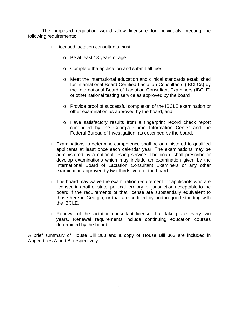The proposed regulation would allow licensure for individuals meeting the following requirements:

- Licensed lactation consultants must:
	- o Be at least 18 years of age
	- o Complete the application and submit all fees
	- o Meet the international education and clinical standards established for International Board Certified Lactation Consultants (IBCLCs) by the International Board of Lactation Consultant Examiners (IBCLE) or other national testing service as approved by the board
	- o Provide proof of successful completion of the IBCLE examination or other examination as approved by the board, and
	- o Have satisfactory results from a fingerprint record check report conducted by the Georgia Crime Information Center and the Federal Bureau of Investigation, as described by the board.
- Examinations to determine competence shall be administered to qualified applicants at least once each calendar year. The examinations may be administered by a national testing service. The board shall prescribe or develop examinations which may include an examination given by the International Board of Lactation Consultant Examiners or any other examination approved by two-thirds' vote of the board.
- $\Box$  The board may waive the examination requirement for applicants who are licensed in another state, political territory, or jurisdiction acceptable to the board if the requirements of that license are substantially equivalent to those here in Georgia, or that are certified by and in good standing with the IBCLE.
- Renewal of the lactation consultant license shall take place every two years. Renewal requirements include continuing education courses determined by the board.

A brief summary of House Bill 363 and a copy of House Bill 363 are included in Appendices A and B, respectively.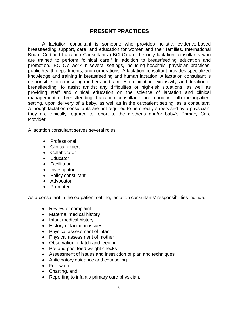<span id="page-6-0"></span>A lactation consultant is someone who provides holistic, evidence-based breastfeeding support, care, and education for women and their families. International Board Certified Lactation Consultants (IBCLC) are the only lactation consultants who are trained to perform "clinical care," in addition to breastfeeding education and promotion. IBCLC's work in several settings, including hospitals, physician practices, public health departments, and corporations. A lactation consultant provides specialized knowledge and training in breastfeeding and human lactation. A lactation consultant is responsible for counseling mothers and families on initiation, exclusivity, and duration of breastfeeding, to assist amidst any difficulties or high-risk situations, as well as providing staff and clinical education on the science of lactation and clinical management of breastfeeding. Lactation consultants are found in both the inpatient setting, upon delivery of a baby, as well as in the outpatient setting, as a consultant. Although lactation consultants are not required to be directly supervised by a physician, they are ethically required to report to the mother's and/or baby's Primary Care Provider.

A lactation consultant serves several roles:

- Professional
- Clinical expert
- Collaborator
- Educator
- Facilitator
- Investigator
- Policy consultant
- Advocator
- Promoter

As a consultant in the outpatient setting, lactation consultants' responsibilities include:

- Review of complaint
- Maternal medical history
- Infant medical history
- History of lactation issues
- Physical assessment of infant
- Physical assessment of mother
- Observation of latch and feeding
- Pre and post feed weight checks
- Assessment of issues and instruction of plan and techniques
- Anticipatory guidance and counseling
- Follow up
- Charting, and
- Reporting to infant's primary care physician.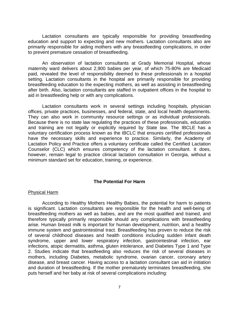Lactation consultants are typically responsible for providing breastfeeding education and support to expecting and new mothers. Lactation consultants also are primarily responsible for aiding mothers with any breastfeeding complications, in order to prevent premature cessation of breastfeeding.

An observation of lactation consultants at Grady Memorial Hospital, whose maternity ward delivers about 2,900 babies per year, of which 75-80% are Medicaid paid, revealed the level of responsibility deemed to these professionals in a hospital setting. Lactation consultants in the hospital are primarily responsible for providing breastfeeding education to the expecting mothers, as well as assisting in breastfeeding after birth. Also, lactation consultants are staffed in outpatient offices in the hospital to aid in breastfeeding help or with any complications.

Lactation consultants work in several settings including hospitals, physician offices, private practices, businesses, and federal, state, and local health departments. They can also work in community resource settings or as individual professionals. Because there is no state law regulating the practices of these professionals, education and training are not legally or explicitly required by State law. The IBCLE has a voluntary certification process known as the IBCLC that ensures certified professionals have the necessary skills and experience to practice. Similarly, the Academy of Lactation Policy and Practice offers a voluntary certificate called the Certified Lactation Counselor (CLC) which ensures competency of the lactation consultant. It does, however, remain legal to practice clinical lactation consultation in Georgia, without a minimum standard set for education, training, or experience.

#### **The Potential For Harm**

#### Physical Harm

According to Healthy Mothers Healthy Babies, the potential for harm to patients is significant. Lactation consultants are responsible for the health and well-being of breastfeeding mothers as well as babies, and are the most qualified and trained, and therefore typically primarily responsible should any complications with breastfeeding arise. Human breast milk is important for human development, nutrition, and a healthy immune system and gastrointestinal tract. Breastfeeding has proven to reduce the risk of several childhood diseases and health conditions including sudden infant death syndrome, upper and lower respiratory infection, gastrointestinal infection, ear infections, atopic dermatitis, asthma, gluten intolerance, and Diabetes Type 1 and Type 2. Studies indicate that breastfeeding also reduces the risk of several diseases in mothers, including Diabetes, metabolic syndrome, ovarian cancer, coronary artery disease, and breast cancer. Having access to a lactation consultant can aid in initiation and duration of breastfeeding. If the mother prematurely terminates breastfeeding, she puts herself and her baby at risk of several complications including: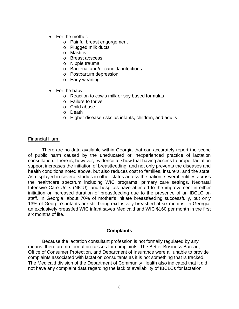- For the mother:
	- o Painful breast engorgement
	- o Plugged milk ducts
	- o Mastitis
	- o Breast abscess
	- o Nipple trauma
	- o Bacterial and/or candida infections
	- o Postpartum depression
	- o Early weaning
- For the baby:
	- o Reaction to cow's milk or soy based formulas
	- o Failure to thrive
	- o Child abuse
	- o Death
	- o Higher disease risks as infants, children, and adults

#### Financial Harm

There are no data available within Georgia that can accurately report the scope of public harm caused by the uneducated or inexperienced practice of lactation consultation. There is, however, evidence to show that having access to proper lactation support increases the initiation of breastfeeding, and not only prevents the diseases and health conditions noted above, but also reduces cost to families, insurers, and the state. As displayed in several studies in other states across the nation, several entities across the healthcare spectrum including WIC programs, primary care settings, Neonatal Intensive Care Units (NICU), and hospitals have attested to the improvement in either initiation or increased duration of breastfeeding due to the presence of an IBCLC on staff. In Georgia, about 70% of mother's initiate breastfeeding successfully, but only 13% of Georgia's infants are still being exclusively breastfed at six months. In Georgia, an exclusively breastfed WIC infant saves Medicaid and WIC \$160 per month in the first six months of life.

#### **Complaints**

Because the lactation consultant profession is not formally regulated by any means, there are no formal processes for complaints. The Better Business Bureau, Office of Consumer Protection, and Department of Insurance were all unable to provide complaints associated with lactation consultants as it is not something that is tracked. The Medicaid division of the Department of Community Health also indicated that it did not have any complaint data regarding the lack of availability of IBCLCs for lactation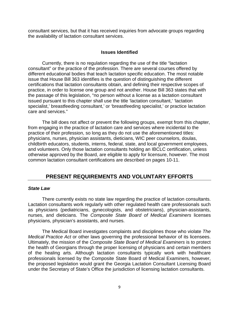consultant services, but that it has received inquiries from advocate groups regarding the availability of lactation consultant services.

#### **Issues Identified**

Currently, there is no regulation regarding the use of the title "lactation consultant" or the practice of the profession. There are several courses offered by different educational bodies that teach lactation specific education. The most notable issue that House Bill 363 identifies is the question of distinguishing the different certifications that lactation consultants obtain, and defining their respective scopes of practice, in order to license one group and not another. House Bill 363 states that with the passage of this legislation, "no person without a license as a lactation consultant issued pursuant to this chapter shall use the title 'lactation consultant,' 'lactation specialist,' breastfeeding consultant,' or 'breastfeeding specialist,' or practice lactation care and services."

The bill does not affect or prevent the following groups, exempt from this chapter, from engaging in the practice of lactation care and services where incidental to the practice of their profession, so long as they do not use the aforementioned titles: physicians, nurses, physician assistants, dieticians, WIC peer counselors, doulas, childbirth educators, students, interns, federal, state, and local government employees, and volunteers. Only those lactation consultants holding an IBCLC certification, unless otherwise approved by the Board, are eligible to apply for licensure, however. The most common lactation consultant certifications are described on pages 10-11.

## **PRESENT REQUIREMENTS AND VOLUNTARY EFFORTS**

#### <span id="page-9-0"></span>*State Law*

There currently exists no state law regarding the practice of lactation consultants. Lactation consultants work regularly with other regulated health care professionals such as physicians (pediatricians, gynecologists, and obstetricians), physician-assistants, nurses, and dieticians. The *Composite State Board of Medical Examiners* licenses physicians, physician's assistants, and nurses.

The Medical Board investigates complaints and disciplines those who violate *The Medical Practice Act* or other laws governing the professional behavior of its licensees. Ultimately, the mission of the *Composite State Board of Medical Examiners* is to protect the health of Georgians through the proper licensing of physicians and certain members of the healing arts. Although lactation consultants typically work with healthcare professionals licensed by the Composite State Board of Medical Examiners, however, the proposed legislation would grant the Georgia Lactation Consultant Licensing Board under the Secretary of State's Office the jurisdiction of licensing lactation consultants.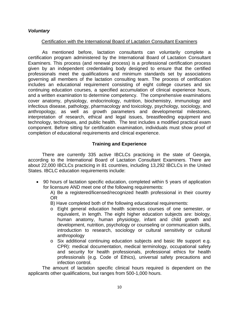#### *Voluntary*

#### Certification with the International Board of Lactation Consultant Examiners

As mentioned before, lactation consultants can voluntarily complete a certification program administered by the International Board of Lactation Consultant Examiners. This process (and renewal process) is a professional certification process given by an independent credentialing body designed to ensure that the certified professionals meet the qualifications and minimum standards set by associations governing all members of the lactation consulting team. The process of certification includes an educational requirement consisting of eight college courses and six continuing education courses, a specified accumulation of clinical experience hours, and a written examination to determine competency. The comprehensive examinations cover anatomy, physiology, endocrinology, nutrition, biochemistry, immunology and infectious disease, pathology, pharmacology and toxicology, psychology, sociology, and anthropology, as well as growth parameters and developmental milestones, interpretation of research, ethical and legal issues, breastfeeding equipment and technology, techniques, and public health. The test includes a modified practical exam component. Before sitting for certification examination, individuals must show proof of completion of educational requirements and clinical experience.

#### **Training and Experience**

There are currently 335 active IBCLCs practicing in the state of Georgia, according to the International Board of Lactation Consultant Examiners. There are about 22,000 IBCLCs practicing in 81 countries, including 13,292 IBCLCs in the United States. IBCLC education requirements include:

• 90 hours of lactation specific education, completed within 5 years of application for licensure AND meet one of the following requirements:

A) Be a registered/licensed/recognized health professional in their country OR

- B) Have completed both of the following educational requirements:
- o Eight general education health sciences courses of one semester, or equivalent, in length. The eight higher education subjects are: biology, human anatomy, human physiology, infant and child growth and development, nutrition, psychology or counseling or communication skills, introduction to research, sociology or cultural sensitivity or cultural anthropology
- o Six additional continuing education subjects and basic life support e.g. CPR): medical documentation, medical terminology, occupational safety and security for health professionals, professional ethics for health professionals (e.g. Code of Ethics), universal safety precautions and infection control.

The amount of lactation specific clinical hours required is dependent on the applicants other qualifications, but ranges from 500-1,000 hours.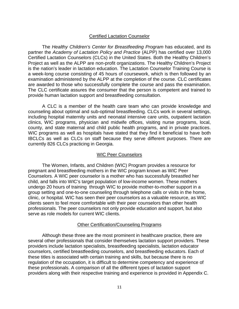#### Certified Lactation Counselor

The *Healthy Children's Center for Breastfeeding Program* has educated, and its partner the *Academy of Lactation Policy and Practice* (ALPP) has certified over 13,000 Certified Lactation Counselors (CLCs) in the United States. Both the Healthy Children's Project as well as the ALPP are non-profit organizations. The Healthy Children's Project is the nation's leader in lactation education. The Lactation Counselor Training Course is a week-long course consisting of 45 hours of coursework, which is then followed by an examination administered by the ALPP at the completion of the course. CLC certificates are awarded to those who successfully complete the course and pass the examination. The CLC certificate assures the consumer that the person is competent and trained to provide human lactation support and breastfeeding consultation.

A CLC is a member of the health care team who can provide knowledge and counseling about optimal and sub-optimal breastfeeding. CLCs work in several settings, including hospital maternity units and neonatal intensive care units, outpatient lactation clinics, WIC programs, physician and midwife offices, visiting nurse programs, local, county, and state maternal and child public health programs, and in private practices. WIC programs as well as hospitals have stated that they find it beneficial to have both IBCLCs as well as CLCs on staff because they serve different purposes. There are currently 826 CLCs practicing in Georgia.

#### WIC Peer Counselors

The Women, Infants, and Children (WIC) Program provides a resource for pregnant and breastfeeding mothers in the WIC program known as WIC Peer Counselors. A WIC peer counselor is a mother who has successfully breastfed her child, and falls into WIC's target population of low-income women. These mothers undergo 20 hours of training through WIC to provide mother-to-mother support in a group setting and one-to-one counseling through telephone calls or visits in the home, clinic, or hospital. WIC has seen their peer counselors as a valuable resource, as WIC clients seem to feel more comfortable with their peer counselors than other health professionals. The peer counselors not only provide education and support, but also serve as role models for current WIC clients.

#### Other Certification/Counseling Programs

Although these three are the most prominent in healthcare practice, there are several other professionals that consider themselves lactation support providers. These providers include lactation specialists, breastfeeding specialists, lactation educator counselors, certified breastfeeding counselors, and breastfeeding educators. Each of these titles is associated with certain training and skills, but because there is no regulation of the occupation, it is difficult to determine competency and experience of these professionals. A comparison of all the different types of lactation support providers along with their respective training and experience is provided in Appendix C.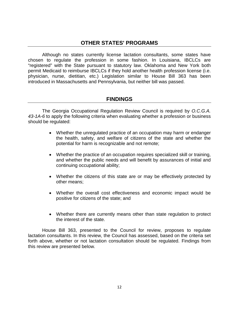## **OTHER STATES' PROGRAMS**

<span id="page-12-0"></span>Although no states currently license lactation consultants, some states have chosen to regulate the profession in some fashion. In Louisiana, IBCLCs are "registered" with the State pursuant to statutory law. Oklahoma and New York both permit Medicaid to reimburse IBCLCs if they hold another health profession license (i.e. physician, nurse, dietitian, etc.) Legislation similar to House Bill 363 has been introduced in Massachusetts and Pennsylvania, but neither bill was passed.

### **FINDINGS**

<span id="page-12-1"></span>The Georgia Occupational Regulation Review Council is required by *O.C.G.A. 43-1A-6* to apply the following criteria when evaluating whether a profession or business should be regulated:

- Whether the unregulated practice of an occupation may harm or endanger the health, safety, and welfare of citizens of the state and whether the potential for harm is recognizable and not remote;
- Whether the practice of an occupation requires specialized skill or training, and whether the public needs and will benefit by assurances of initial and continuing occupational ability;
- Whether the citizens of this state are or may be effectively protected by other means;
- Whether the overall cost effectiveness and economic impact would be positive for citizens of the state; and
- Whether there are currently means other than state regulation to protect the interest of the state.

House Bill 363, presented to the Council for review, proposes to regulate lactation consultants. In this review, the Council has assessed, based on the criteria set forth above, whether or not lactation consultation should be regulated. Findings from this review are presented below.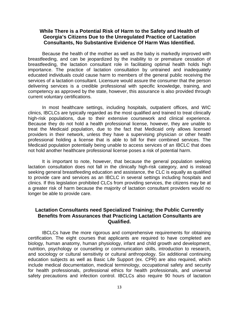#### **While There is a Potential Risk of Harm to the Safety and Health of Georgia's Citizens Due to the Unregulated Practice of Lactation Consultants, No Substantive Evidence Of Harm Was Identified.**

Because the health of the mother as well as the baby is markedly improved with breastfeeding, and can be jeopardized by the inability to or premature cessation of breastfeeding, the lactation consultant role in facilitating optimal health holds high importance. The practice of lactation consultation by untrained and inadequately educated individuals could cause harm to members of the general public receiving the services of a lactation consultant. Licensure would assure the consumer that the person delivering services is a credible professional with specific knowledge, training, and competency as approved by the state, however, this assurance is also provided through current voluntary certifications.

In most healthcare settings, including hospitals, outpatient offices, and WIC clinics, IBCLCs are typically regarded as the most qualified and trained to treat clinically high-risk populations, due to their extensive coursework and clinical experience. Because they do not hold a health professional license, however, they are unable to treat the Medicaid population, due to the fact that Medicaid only allows licensed providers in their network, unless they have a supervising physician or other health professional holding a license that is able to bill for their combined services. The Medicaid population potentially being unable to access services of an IBCLC that does not hold another healthcare professional license poses a risk of potential harm.

It is important to note, however, that because the general population seeking lactation consultation does not fall in the clinically high-risk category, and is instead seeking general breastfeeding education and assistance, the CLC is equally as qualified to provide care and services as an IBCLC in several settings including hospitals and clinics. If this legislation prohibited CLCs from providing services, the citizens may be at a greater risk of harm because the majority of lactation consultant providers would no longer be able to provide care.

#### **Lactation Consultants need Specialized Training; the Public Currently Benefits from Assurances that Practicing Lactation Consultants are Qualified.**

IBCLCs have the more rigorous and comprehensive requirements for obtaining certification. The eight courses that applicants are required to have completed are biology, human anatomy, human physiology, infant and child growth and development, nutrition, psychology or counseling or communication skills, introduction to research, and sociology or cultural sensitivity or cultural anthropology. Six additional continuing education subjects as well as Basic Life Support (ex. CPR) are also required, which include medical documentation, medical terminology, occupational safety and security for health professionals, professional ethics for health professionals, and universal safety precautions and infection control. IBCLCs also require 90 hours of lactation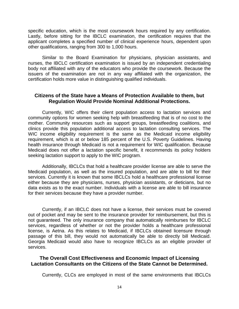specific education, which is the most coursework hours required by any certification. Lastly, before sitting for the IBCLC examination, the certification requires that the applicant completes a specified number of clinical experience hours, dependent upon other qualifications, ranging from 300 to 1,000 hours.

Similar to the Board Examination for physicians, physician assistants, and nurses, the IBCLC certification examination is issued by an independent credentialing body not affiliated with any of the educators who provide the coursework. Because the issuers of the examination are not in any way affiliated with the organization, the certification holds more value in distinguishing qualified individuals.

#### **Citizens of the State have a Means of Protection Available to them, but Regulation Would Provide Nominal Additional Protections.**

Currently, WIC offers their client population access to lactation services and community options for women seeking help with breastfeeding that is of no cost to the mother. Community resources such as support groups, breastfeeding coalitions, and clinics provide this population additional access to lactation consulting services. The WIC income eligibility requirement is the same as the Medicaid income eligibility requirement, which is at or below 185 percent of the U.S. Poverty Guidelines. Having health insurance through Medicaid is not a requirement for WIC qualification. Because Medicaid does not offer a lactation specific benefit, it recommends its policy holders seeking lactation support to apply to the WIC program.

Additionally, IBCLCs that hold a healthcare provider license are able to serve the Medicaid population, as well as the insured population, and are able to bill for their services. Currently it is known that some IBCLCs hold a healthcare professional license either because they are physicians, nurses, physician assistants, or dieticians, but no data exists as to the exact number. Individuals with a license are able to bill insurance for their services because they have a provider number.

Currently, if an IBCLC does not have a license, their services must be covered out of pocket and may be sent to the insurance provider for reimbursement, but this is not guaranteed. The only insurance company that automatically reimburses for IBCLC services, regardless of whether or not the provider holds a healthcare professional license, is Aetna. As this relates to Medicaid, if IBCLCs obtained licensure through passage of this bill, they would not automatically be able to directly bill Medicaid. Georgia Medicaid would also have to recognize IBCLCs as an eligible provider of services.

#### **The Overall Cost Effectiveness and Economic Impact of Licensing Lactation Consultants on the Citizens of the State Cannot be Determined.**

Currently, CLCs are employed in most of the same environments that IBCLCs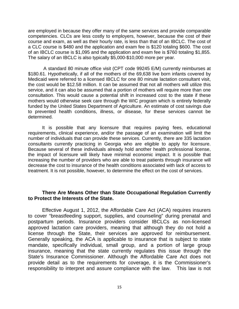are employed in because they offer many of the same services and provide comparable competencies. CLCs are less costly to employers, however, because the cost of their course and exam, as well as their hourly rate, is less than that of an IBCLC. The cost of a CLC course is \$480 and the application and exam fee is \$120 totaling \$600. The cost of an IBCLC course is \$1,095 and the application and exam fee is \$760 totaling \$1,855. The salary of an IBCLC is also typically \$5,000-\$10,000 more per year.

A standard 80 minute office visit (CPT code 99245 E/M) currently reimburses at \$180.61. Hypothetically, if all of the mothers of the 69,638 live born infants covered by Medicaid were referred to a licensed IBCLC for one 80 minute lactation consultant visit, the cost would be \$12.58 million. It can be assumed that not all mothers will utilize this service, and it can also be assumed that a portion of mothers will require more than one consultation. This would cause a potential shift in increased cost to the state if these mothers would otherwise seek care through the WIC program which is entirely federally funded by the United States Department of Agriculture. An estimate of cost savings due to prevented health conditions, illness, or disease, for these services cannot be determined.

It is possible that any licensure that requires paying fees, educational requirements, clinical experience, and/or the passage of an examination will limit the number of individuals that can provide these services. Currently, there are 335 lactation consultants currently practicing in Georgia who are eligible to apply for licensure. Because several of these individuals already hold another health professional license, the impact of licensure will likely have minimal economic impact. It is possible that increasing the number of providers who are able to treat patients through insurance will decrease the cost to insurance of the health conditions associated with lack of access to treatment. It is not possible, however, to determine the effect on the cost of services.

#### **There Are Means Other than State Occupational Regulation Currently to Protect the Interests of the State.**

Effective August 1, 2012, the Affordable Care Act (ACA) requires insurers to cover "breastfeeding support, supplies, and counseling" during prenatal and postpartum periods. Insurance providers consider IBCLCs as non-licensed approved lactation care providers, meaning that although they do not hold a license through the State, their services are approved for reimbursement. Generally speaking, the ACA is applicable to insurance that is subject to state mandate, specifically individual, small group, and a portion of large group insurance, meaning that the state currently regulates this issue through the State's Insurance Commissioner. Although the Affordable Care Act does not provide detail as to the requirements for coverage, it is the Commissioner's responsibility to interpret and assure compliance with the law. This law is not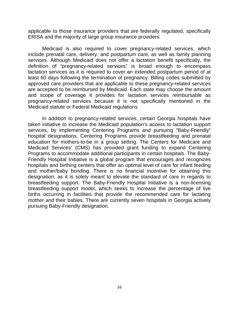applicable to those insurance providers that are federally regulated, specifically ERISA and the majority of large group insurance providers.

Medicaid is also required to cover pregnancy-related services, which include prenatal care, delivery, and postpartum care, as well as family planning services. Although Medicaid does not offer a lactation benefit specifically, the definition of "pregnancy-related services" is broad enough to encompass lactation services as it is required to cover an extended postpartum period of at least 60 days following the termination of pregnancy. Billing codes submitted by approved care providers that are applicable to these pregnancy-related services are accepted to be reimbursed by Medicaid. Each state may choose the amount and scope of coverage it provides for lactation services reimbursable as pregnancy-related services because it is not specifically mentioned in the Medicaid statute or Federal Medicaid regulations.

In addition to pregnancy-related services, certain Georgia hospitals have taken initiative to increase the Medicaid population's access to lactation support services, by implementing Centering Programs and pursuing "Baby-Friendly" hospital designations. Centering Programs provide breastfeeding and prenatal education for mothers-to-be in a group setting. The Centers for Medicare and Medicaid Services' (CMS) has provided grant funding to expand Centering Programs to accommodate additional participants in certain hospitals. The Baby-Friendly Hospital Initiative is a global program that encourages and recognizes hospitals and birthing centers that offer an optimal level of care for infant feeding and mother/baby bonding. There is no financial incentive for obtaining this designation, as it is solely meant to elevate the standard of care in regards to breastfeeding support. The Baby-Friendly Hospital Initiative is a non-licensing breastfeeding support model, which seeks to increase the percentage of live births occurring in facilities that provide the recommended care for lactating mother and their babies. There are currently seven hospitals in Georgia actively pursuing Baby-Friendly designation.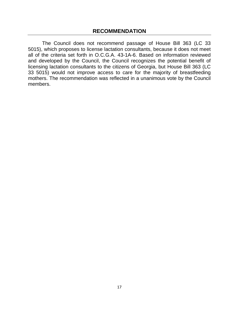<span id="page-17-0"></span>The Council does not recommend passage of House Bill 363 (LC 33 5015), which proposes to license lactation consultants, because it does not meet all of the criteria set forth in O.C.G.A. 43-1A-6. Based on information reviewed and developed by the Council, the Council recognizes the potential benefit of licensing lactation consultants to the citizens of Georgia, but House Bill 363 (LC 33 5015) would not improve access to care for the majority of breastfeeding mothers. The recommendation was reflected in a unanimous vote by the Council members.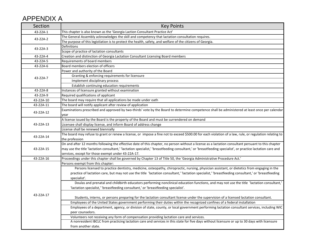# APPENDIX A

| Section   | <b>Key Points</b>                                                                                                                                           |  |  |
|-----------|-------------------------------------------------------------------------------------------------------------------------------------------------------------|--|--|
| 43-22A-1  | This chapter is also known as the 'Georgia Laction Consultant Practice Act'                                                                                 |  |  |
| 43-22A-2  | The General Assembly acknowledges the skill and competency that lactation consultation requires.                                                            |  |  |
|           | The purpose of this legistlation is to protect the health, safety, and welfare of the citizens of Georgia.                                                  |  |  |
| 43-22A-3  | Definitions                                                                                                                                                 |  |  |
|           | Scope of practice of lactation consultants                                                                                                                  |  |  |
| 43-22A-4  | Creation and distinction of Georgia Lactation Consultant Licensing Board members                                                                            |  |  |
| 43-22A-5  | Requirements of board members                                                                                                                               |  |  |
| 43-22A-6  | Board members election of officers                                                                                                                          |  |  |
|           | Power and authority of the Board                                                                                                                            |  |  |
| 43-22A-7  | Granting & enforcing requirements for licensure                                                                                                             |  |  |
|           | Implement disciplinary process                                                                                                                              |  |  |
|           | Establish continuing education requirements                                                                                                                 |  |  |
| 43-22A-8  | Instances of licensure granted without examination                                                                                                          |  |  |
| 43-22A-9  | Required qualifications of applicant                                                                                                                        |  |  |
| 43-22A-10 | The board may require that all applications be made under oath                                                                                              |  |  |
| 43-22A-11 | The board will notify applicant after review of application                                                                                                 |  |  |
|           | Examinations prescribed and approved by two-thirds' vote by the Board to determine competence shall be administered at least once per calendar              |  |  |
| 43-22A-12 | year                                                                                                                                                        |  |  |
|           | A license issued by the Board is the property of the Board and must be surrendered on demand                                                                |  |  |
| 43-22A-13 | Licensee shall display license, and inform Board of address change                                                                                          |  |  |
|           | License shall be renewed biennially                                                                                                                         |  |  |
|           | The board may refuse to grant or renew a license, or impose a fine not to exceed \$500.00 for each violation of a law, rule, or regulation relating to      |  |  |
| 43-22A-14 | the profession                                                                                                                                              |  |  |
|           | On and after 12 months following the effective date of this chapter, no person without a license as a lactation consultant persuant to this chapter         |  |  |
| 43-22A-15 | may use the title 'lactation consultant,' 'lactation specialist,' 'breastfeeding consultant,' or 'breastfeeding specialist', or practice lactation care and |  |  |
|           | services, except for those exempt under 43-22A-17.                                                                                                          |  |  |
| 43-22A-16 | Proceedings under this chapter shall be governed by Chapter 13 of Title 50, the 'Georgia Administrative Procedure Act.'                                     |  |  |
|           | Persons exempt from this chapter:                                                                                                                           |  |  |
|           | Persons licensed to practice dentistry, medicine, osteopathy, chiropractic, nursing, physician assistant, or dietetics from engaging in the                 |  |  |
|           | practice of lactation care, but may not use the title 'lactation consultant,' 'lactation specialist,' 'breastfeeding consultant,' or 'breastfeeding         |  |  |
|           | specialist'.                                                                                                                                                |  |  |
|           | Doulas and prenatal and childbirth educators performing nonclinical education functions, and may not use the title 'lactation consultant,'                  |  |  |
|           | 'lactation specialist,' 'breastfeeding consultant,' or 'breastfeeding specialist'.                                                                          |  |  |
|           |                                                                                                                                                             |  |  |
| 43-22A-17 | Students, interns, or persons preparing for the lactation consultant license under the supervision of a licensed lactation consultant.                      |  |  |
|           | Employees of the United States government performing their duties within the recognized confines of a federal installation                                  |  |  |
|           | Employees of a department, agency, or division of state, county, or local government performing lactation consultant services, including WIC                |  |  |
|           | peer counselors.                                                                                                                                            |  |  |
|           | Volunteers not receiving any form of compensation providing lactation care and services.                                                                    |  |  |
|           | A nonresident IBCLC from practicing lactation care and services in this state for five days without licensure or up to 30 days with licensure               |  |  |
|           | from another state.                                                                                                                                         |  |  |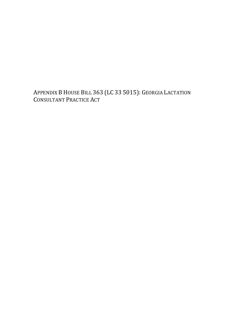APPENDIX B HOUSE BILL 363 (LC 33 5015): GEORGIA LACTATION CONSULTANT PRACTICE ACT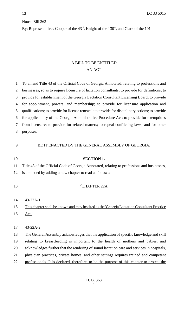## House Bill 363

By: Representatives Cooper of the  $43<sup>rd</sup>$ , Knight of the  $130<sup>th</sup>$ , and Clark of the  $101<sup>st</sup>$ 

## A BILL TO BE ENTITLED AN ACT

| $\mathbf{1}$ | To amend Title 43 of the Official Code of Georgia Annotated, relating to professions and        |
|--------------|-------------------------------------------------------------------------------------------------|
| 2            | businesses, so as to require licensure of lactation consultants; to provide for definitions; to |
| 3            | provide for establishment of the Georgia Lactation Consultant Licensing Board; to provide       |
| 4            | for appointment, powers, and membership; to provide for licensure application and               |
| 5            | qualifications; to provide for license renewal; to provide for disciplinary actions; to provide |
| 6            | for applicability of the Georgia Administrative Procedure Act; to provide for exemptions        |
| 7            | from licensure; to provide for related matters; to repeal conflicting laws; and for other       |
| 8            | purposes.                                                                                       |
|              |                                                                                                 |
| 9            | BE IT ENACTED BY THE GENERAL ASSEMBLY OF GEORGIA:                                               |
|              |                                                                                                 |
| 10           | <b>SECTION 1.</b>                                                                               |
| 11           | Title 43 of the Official Code of Georgia Annotated, relating to professions and businesses,     |
| 12           | is amended by adding a new chapter to read as follows:                                          |
|              |                                                                                                 |
| 13           | "CHAPTER 22A                                                                                    |
|              |                                                                                                 |
| 14           | <u>43-22A-1.</u>                                                                                |
| 15           | This chapter shall be known and may be cited as the 'Georgia Lactation Consultant Practice      |
| 16           | <u>Act.'</u>                                                                                    |
|              |                                                                                                 |
| 17           | $43 - 22A - 2$ .                                                                                |
| 18           | The General Assembly acknowledges that the application of specific knowledge and skill          |
| 19           | relating to breastfeeding is important to the health of mothers and babies, and                 |
| 20           | acknowledges further that the rendering of sound lactation care and services in hospitals,      |
| 21           | physician practices, private homes, and other settings requires trained and competent           |
| 22           | professionals. It is declared, therefore, to be the purpose of this chapter to protect the      |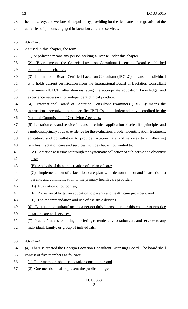13 LC 33 5015

- 23 health, safety, and welfare of the public by providing for the licensure and regulation of the
- 24 activities of persons engaged in lactation care and services.

| 25 | $43 - 22A - 3$ .                                                                             |
|----|----------------------------------------------------------------------------------------------|
| 26 | <u>As used in this chapter, the term:</u>                                                    |
| 27 | (1) 'Applicant' means any person seeking a license under this chapter.                       |
| 28 | 'Board' means the Georgia Lactation Consultant Licensing Board established<br>(2)            |
| 29 | pursuant to this chapter.                                                                    |
| 30 | (3) 'International Board Certified Lactation Consultant (IBCLC)' means an individual         |
| 31 | who holds current certification from the International Board of Lactation Consultant         |
| 32 | Examiners (IBLCE) after demonstrating the appropriate education, knowledge, and              |
| 33 | experience necessary for independent clinical practice.                                      |
| 34 | 'International Board of Lactation Consultant Examiners (IBLCE)' means the<br>(4)             |
| 35 | international organization that certifies IBCLCs and is independently accredited by the      |
| 36 | National Commission of Certifying Agencies.                                                  |
| 37 | (5) Lactation care and services' means the clinical application of scientific principles and |
| 38 | a multidisciplinary body of evidence for the evaluation, problem identification, treatment,  |
| 39 | education, and consultation to provide lactation care and services to childbearing           |
| 40 | families. Lactation care and services includes but is not limited to:                        |
| 41 | (A) Lactation assessment through the systematic collection of subjective and objective       |
| 42 | data;                                                                                        |
| 43 | (B) Analysis of data and creation of a plan of care;                                         |
| 44 | (C) Implementation of a lactation care plan with demonstration and instruction to            |
| 45 | parents and communication to the primary health care provider;                               |
| 46 | (D) Evaluation of outcomes;                                                                  |
| 47 | Provision of lactation education to parents and health care providers; and<br>(E)            |
| 48 | The recommendation and use of assistive devices.                                             |
| 49 | (6) Lactation consultant' means a person duly licensed under this chapter to practice        |
| 50 | lactation care and services.                                                                 |
| 51 | (7) 'Practice' means rendering or offering to render any lactation care and services to any  |
| 52 | individual, family, or group of individuals.                                                 |
| 53 | $43 - 22A - 4$ .                                                                             |
| 54 | (a) There is created the Georgia Lactation Consultant Licensing Board. The board shall       |
| 55 | consist of five members as follows:                                                          |
|    |                                                                                              |

- 56 (1) Four members shall be lactation consultants; and
- 57 (2) One member shall represent the public at large.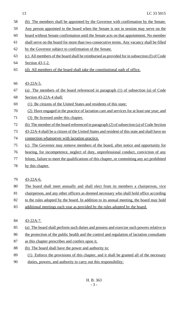- (b) The members shall be appointed by the Governor with confirmation by the Senate.
- 59 Any person appointed to the board when the Senate is not in session may serve on the
- board without Senate confirmation until the Senate acts on that appointment. No member
- 61 shall serve on the board for more than two consecutive terms. Any vacancy shall be filled
- by the Governor subject to confirmation of the Senate.
- (c) All members of the board shall be reimbursed as provided for in subsection (f) of Code
- Section 43-1-2.
- (d) All members of the board shall take the constitutional oath of office.
- 43-22A-5.
- (a) The members of the board referenced in paragraph (1) of subsection (a) of Code
- Section 43-22A-4 shall:
- (1) Be citizens of the United States and residents of this state;
- (2) Have engaged in the practice of lactation care and services for at least one year; and
- (3) Be licensed under this chapter.
- (b) The member of the board referenced in paragraph (2) of subsection (a) of Code Section
- 43-22A-4 shall be a citizen of the United States and resident of this state and shall have no
- connection whatsoever with lactation practice.
- (c) The Governor may remove members of the board, after notice and opportunity for
- hearing, for incompetence, neglect of duty, unprofessional conduct, conviction of any
- 77 felony, failure to meet the qualifications of this chapter, or committing any act prohibited
- 78 by this chapter.
- 43-22A-6.
- The board shall meet annually and shall elect from its members a chairperson, vice
- chairperson, and any other officers as deemed necessary who shall hold office according
- 82 to the rules adopted by the board. In addition to its annual meeting, the board may hold
- 83 additional meetings each year as provided by the rules adopted by the board.
- 43-22A-7.
- (a) The board shall perform such duties and possess and exercise such powers relative to
- 86 the protection of the public health and the control and regulation of lactation consultants
- 87 as this chapter prescribes and confers upon it.
- (b) The board shall have the power and authority to:
- (1) Enforce the provisions of this chapter, and it shall be granted all of the necessary
- duties, powers, and authority to carry out this responsibility;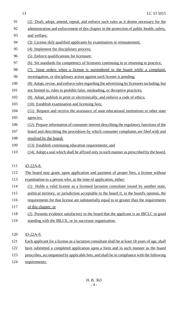13 LC 33 5015

| 91         | (2) Draft, adopt, amend, repeal, and enforce such rules as it deems necessary for the           |  |  |
|------------|-------------------------------------------------------------------------------------------------|--|--|
| 92         | administration and enforcement of this chapter in the protection of public health, safety,      |  |  |
| 93         | and welfare;                                                                                    |  |  |
| 94         | (3) License duly qualified applicants by examination or reinstatement;                          |  |  |
| 95         | (4) Implement the disciplinary process;                                                         |  |  |
| 96         | (5) Enforce qualifications for licensure:                                                       |  |  |
| 97         | <u>(6) Set standards for competency of licensees continuing in or returning to practice;</u>    |  |  |
| 98         | Issue orders when a license is surrendered to the board while a complaint,<br>(7)               |  |  |
| 99         | investigation, or disciplinary action against such license is pending:                          |  |  |
| 100        | (8) Adopt, revise, and enforce rules regarding the advertising by licensees including, but      |  |  |
| 101        | not limited to, rules to prohibit false, misleading, or deceptive practices;                    |  |  |
| 102        | (9) Adopt, publish in print or electronically, and enforce a code of ethics;                    |  |  |
| 103        | (10) Establish examination and licensing fees;                                                  |  |  |
| 104        | (11) Request and receive the assistance of state educational institutions or other state        |  |  |
| 105        | agencies;                                                                                       |  |  |
| 106        | (12) Prepare information of consumer interest describing the regulatory functions of the        |  |  |
| 107        | board and describing the procedures by which consumer complaints are filed with and             |  |  |
| 108        | resolved by the board;                                                                          |  |  |
| 109        | (13) Establish continuing education requirements; and                                           |  |  |
| <b>110</b> | (14) Adopt a seal which shall be affixed only in such manner as prescribed by the board.        |  |  |
| 111        | <u>43-22A-8.</u>                                                                                |  |  |
| 112        | The board may grant, upon application and payment of proper fees, a license without             |  |  |
| 113        | examination to a person who, at the time of application, either:                                |  |  |
| 114        | (1) Holds a valid license as a licensed lactation consultant issued by another state,           |  |  |
| 115        | political territory, or jurisdiction acceptable to the board if, in the board's opinion, the    |  |  |
| 116        | requirements for that license are substantially equal to or greater than the requirements       |  |  |
| 117        | of this chapter; or                                                                             |  |  |
| 118        | (2) Presents evidence satisfactory to the board that the applicant is an IBCLC in good          |  |  |
| 119        | standing with the IBLCE, or its successor organization.                                         |  |  |
| 120        | 43-22A-9.                                                                                       |  |  |
| 121        | Each applicant for a license as a lactation consultant shall be at least 18 years of age, shall |  |  |

122 have submitted a completed application upon a form and in such manner as the board

123 prescribes, accompanied by applicable fees, and shall be in compliance with the following

124 requirements: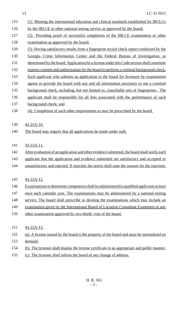| 125 | (1) Meeting the international education and clinical standards established for IBCLCs           |
|-----|-------------------------------------------------------------------------------------------------|
| 126 | by the IBLCE or other national testing service as approved by the board;                        |
| 127 | Providing proof of successful completion of the IBLCE examination or other<br>(2)               |
| 128 | examination as approved by the board;                                                           |
| 129 | (3) Having satisfactory results from a fingerprint record check report conducted by the         |
| 130 | Georgia Crime Information Center and the Federal Bureau of Investigation, as                    |
| 131 | determined by the board. Application for a license under this Code section shall constitute     |
| 132 | express consent and authorization for the board to perform a criminal background check.         |
| 133 | Each applicant who submits an application to the board for licensure by examination             |
| 134 | agrees to provide the board with any and all information necessary to run a criminal            |
| 135 | background check, including, but not limited to, classifiable sets of fingerprints. The         |
| 136 | applicant shall be responsible for all fees associated with the performance of such             |
| 137 | background check; and                                                                           |
| 138 | (4) Completion of such other requirements as may be prescribed by the board.                    |
|     |                                                                                                 |
| 139 | $43 - 22A - 10$ .                                                                               |
| 140 | The board may require that all applications be made under oath.                                 |
|     |                                                                                                 |
| 141 | $43 - 22A - 11$ .                                                                               |
| 142 | After evaluation of an application and other evidence submitted, the board shall notify each    |
| 143 | applicant that the application and evidence submitted are satisfactory and accepted or          |
| 144 | unsatisfactory and rejected. If rejected, the notice shall state the reasons for the rejection. |
|     |                                                                                                 |
| 145 | $43 - 22A - 12$ .                                                                               |
| 146 | Examinations to determine competence shall be administered to qualified applicants at least     |
| 147 | once each calendar year. The examinations may be administered by a national testing             |
| 148 | service. The board shall prescribe or develop the examinations which may include an             |
| 149 | examination given by the International Board of Lactation Consultant Examiners or any           |
| 150 | other examination approved by two-thirds' vote of the board.                                    |
|     |                                                                                                 |
| 151 | <u>43-22A-13.</u>                                                                               |
| 152 | (a) A license issued by the board is the property of the board and must be surrendered on       |
| 153 | demand.                                                                                         |
| 154 | (b) The licensee shall display the license certificate in an appropriate and public manner.     |
| 155 | cliences shall inform the hound of our change of address                                        |

155 (c) The licensee shall inform the board of any change of address.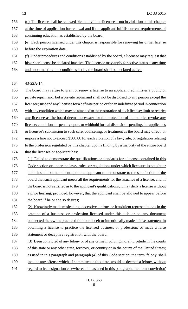- 156 (d) The license shall be renewed biennially if the licensee is not in violation of this chapter
- 157 at the time of application for renewal and if the applicant fulfills current requirements of
- 158 continuing education as established by the board.
- 159 (e) Each person licensed under this chapter is responsible for renewing his or her license 160 before the expiration date.
- 161 (f) Under procedures and conditions established by the board, a licensee may request that
- 162 his or her license be declared inactive. The licensee may apply for active status at any time
- 163 and upon meeting the conditions set by the board shall be declared active.

164 43-22A-14.

- 165 The board may refuse to grant or renew a license to an applicant; administer a public or 166 private reprimand, but a private reprimand shall not be disclosed to any person except the 167 licensee; suspend any licensee for a definite period or for an indefinite period in connection 168 with any condition which may be attached to the restoration of such license; limit or restrict 169 any licensee as the board deems necessary for the protection of the public; revoke any 170 license; condition the penalty upon, or withhold formal disposition pending, the applicant's 171 or licensee's submission to such care, counseling, or treatment as the board may direct; or 172 impose a fine not to exceed \$500.00 for each violation of a law, rule, or regulation relating 173 to the profession regulated by this chapter upon a finding by a majority of the entire board 174 that the licensee or applicant has: 175 (1) Failed to demonstrate the qualifications or standards for a license contained in this 176 Code section or under the laws, rules, or regulations under which licensure is sought or 177 held; it shall be incumbent upon the applicant to demonstrate to the satisfaction of the 178 board that such applicant meets all the requirements for the issuance of a license, and, if 179 the board is not satisfied as to the applicant's qualifications, it may deny a license without 180 a prior hearing; provided, however, that the applicant shall be allowed to appear before 181 the board if he or she so desires; 182 (2) Knowingly made misleading, deceptive, untrue, or fraudulent representations in the
- 183 practice of a business or profession licensed under this title or on any document 184 connected therewith; practiced fraud or deceit or intentionally made a false statement in
- 185 obtaining a license to practice the licensed business or profession; or made a false 186 statement or deceptive registration with the board;
- 187 (3) Been convicted of any felony or of any crime involving moral turpitude in the courts 188 of this state or any other state, territory, or country or in the courts of the United States; 189 as used in this paragraph and paragraph (4) of this Code section, the term 'felony' shall 190 include any offense which, if committed in this state, would be deemed a felony, without 191 regard to its designation elsewhere; and, as used in this paragraph, the term 'conviction'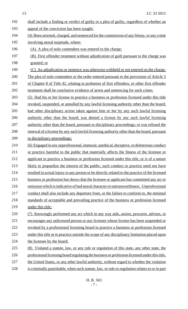| 192 | shall include a finding or verdict of guilty or a plea of guilty, regardless of whether an      |
|-----|-------------------------------------------------------------------------------------------------|
| 193 | appeal of the conviction has been sought;                                                       |
| 194 | (4) Been arrested, charged, and sentenced for the commission of any felony, or any crime        |
| 195 | involving moral turpitude, where:                                                               |
| 196 | (A) A plea of nolo contendere was entered to the charge;                                        |
| 197 | (B) First offender treatment without adjudication of guilt pursuant to the charge was           |
| 198 | granted; or                                                                                     |
| 199 | (C) An adjudication or sentence was otherwise withheld or not entered on the charge.            |
| 200 | The plea of nolo contendere or the order entered pursuant to the provisions of Article 3        |
| 201 | of Chapter 8 of Title 42, relating to probation of first offenders, or other first offender     |
| 202 | treatment shall be conclusive evidence of arrest and sentencing for such crime;                 |
| 203 | (5) Had his or her license to practice a business or profession licensed under this title       |
| 204 | revoked, suspended, or annulled by any lawful licensing authority other than the board;         |
| 205 | had other disciplinary action taken against him or her by any such lawful licensing             |
| 206 | authority other than the board; was denied a license by any such lawful licensing               |
| 207 | authority other than the board, pursuant to disciplinary proceedings; or was refused the        |
| 208 | renewal of a license by any such lawful licensing authority other than the board, pursuant      |
| 209 | to disciplinary proceedings;                                                                    |
| 210 | (6) Engaged in any unprofessional, immoral, unethical, deceptive, or deleterious conduct        |
| 211 | or practice harmful to the public that materially affects the fitness of the licensee or        |
| 212 | applicant to practice a business or profession licensed under this title, or is of a nature     |
| 213 | likely to jeopardize the interest of the public; such conduct or practice need not have         |
| 214 | resulted in actual injury to any person or be directly related to the practice of the licensed  |
| 215 | business or profession but shows that the licensee or applicant has committed any act or        |
| 216 | <u>omission which is indicative of bad moral character or untrustworthiness. Unprofessional</u> |
| 217 | conduct shall also include any departure from, or the failure to conform to, the minimal        |
| 218 | standards of acceptable and prevailing practice of the business or profession licensed          |
| 219 | under this title;                                                                               |
| 220 | (7) Knowingly performed any act which in any way aids, assists, procures, advises, or           |
| 221 | encourages any unlicensed person or any licensee whose license has been suspended or            |
| 222 | revoked by a professional licensing board to practice a business or profession licensed         |
| 223 | under this title or to practice outside the scope of any disciplinary limitation placed upon    |
| 224 | the licensee by the board;                                                                      |
| 225 | (8) Violated a statute, law, or any rule or regulation of this state, any other state, the      |
| 226 | professional licensing board regulating the business or profession licensed under this title,   |
| 227 | the United States, or any other lawful authority, without regard to whether the violation       |
| 228 | is criminally punishable, when such statute, law, or rule or regulation relates to or in part   |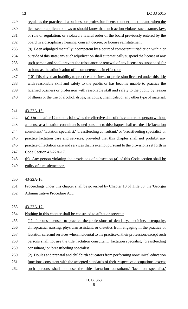- 229 regulates the practice of a business or profession licensed under this title and when the 230 licensee or applicant knows or should know that such action violates such statute, law, 231 or rule or regulation; or violated a lawful order of the board previously entered by the 232 board in a disciplinary hearing, consent decree, or license reinstatement; 233 (9) Been adjudged mentally incompetent by a court of competent jurisdiction within or 234 outside of this state; any such adjudication shall automatically suspend the license of any 235 such person and shall prevent the reissuance or renewal of any license so suspended for 236 so long as the adjudication of incompetence is in effect; or
- 237 (10) Displayed an inability to practice a business or profession licensed under this title
- 238 with reasonable skill and safety to the public or has become unable to practice the
- 239 licensed business or profession with reasonable skill and safety to the public by reason
- 240 of illness or the use of alcohol, drugs, narcotics, chemicals, or any other type of material.
- 241 43-22A-15.
- 242 (a) On and after 12 months following the effective date of this chapter, no person without
- 243 a license as a lactation consultant issued pursuant to this chapter shall use the title 'lactation
- 244 consultant,' 'lactation specialist,' 'breastfeeding consultant,' or 'breastfeeding specialist' or
- 245 practice lactation care and services, provided that this chapter shall not prohibit any
- 246 practice of lactation care and services that is exempt pursuant to the provisions set forth in
- 247 Code Section 43-22A-17.
- 248 (b) Any person violating the provisions of subsection (a) of this Code section shall be
- 249 guilty of a misdemeanor.
- 250 43-22A-16.
- 251 Proceedings under this chapter shall be governed by Chapter 13 of Title 50, the 'Georgia 252 Administrative Procedure Act.'
- 253 43-22A-17.
- 254 Nothing in this chapter shall be construed to affect or prevent:
- 255 (1) Persons licensed to practice the professions of dentistry, medicine, osteopathy,
- 256 chiropractic, nursing, physician assistant, or dietetics from engaging in the practice of
- 257 lactation care and services when incidental to the practice of their profession, except such
- 258 persons shall not use the title 'lactation consultant,' 'lactation specialist,' 'breastfeeding
- 259 consultant,' or 'breastfeeding specialist';
- 260 (2) Doulas and prenatal and childbirth educators from performing nonclinical education
- 261 functions consistent with the accepted standards of their respective occupations, except
- 262 such persons shall not use the title 'lactation consultant,' 'lactation specialist,'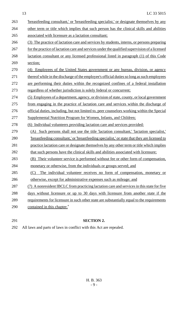- 263 breastfeeding consultant,' or 'breastfeeding specialist,' or designate themselves by any 264 other term or title which implies that such person has the clinical skills and abilities associated with licensure as a lactation consultant; (3) The practice of lactation care and services by students, interns, or persons preparing 267 for the practice of lactation care and services under the qualified supervision of a licensed lactation consultant or any licensed professional listed in paragraph (1) of this Code section; (4) Employees of the United States government or any bureau, division, or agency 271 thereof while in the discharge of the employee's official duties so long as such employees are performing their duties within the recognized confines of a federal installation regardless of whether jurisdiction is solely federal or concurrent; (5) Employees of a department, agency, or division of state, county, or local government from engaging in the practice of lactation care and services within the discharge of official duties, including, but not limited to, peer counselors working within the Special Supplemental Nutrition Program for Women, Infants, and Children; (6) Individual volunteers providing lactation care and services provided: (A) Such persons shall not use the title 'lactation consultant,' 'lactation specialist,' 'breastfeeding consultant,' or 'breastfeeding specialist,' or state that they are licensed to practice lactation care or designate themselves by any other term or title which implies 282 that such persons have the clinical skills and abilities associated with licensure; 283 (B) Their volunteer service is performed without fee or other form of compensation, monetary or otherwise, from the individuals or groups served; and (C) The individual volunteer receives no form of compensation, monetary or 286 otherwise, except for administrative expenses such as mileage; and 287 (7) A nonresident IBCLC from practicing lactation care and services in this state for five days without licensure or up to 30 days with licensure from another state if the 289 requirements for licensure in such other state are substantially equal to the requirements contained in this chapter."
- 

## **SECTION 2.**

All laws and parts of laws in conflict with this Act are repealed.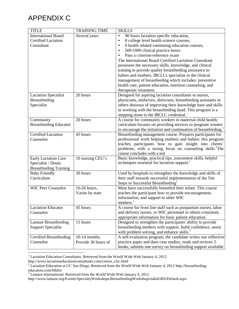# APPENDIX C

| <b>TITLE</b>                   | <b>TRAINING TIME</b> | <b>SKILLS</b>                                                                                                                  |
|--------------------------------|----------------------|--------------------------------------------------------------------------------------------------------------------------------|
| <b>International Board</b>     | Several years        | 90 hours lactation specific education,<br>$\bullet$                                                                            |
| <b>Certified Lactation</b>     |                      | 8 college level health science courses,<br>$\bullet$                                                                           |
| Consultant                     |                      | 6 health related continuing education courses,<br>$\bullet$                                                                    |
|                                |                      | 500-1000 clinical practice hours<br>$\bullet$                                                                                  |
|                                |                      | Pass a criterion-reference exam                                                                                                |
|                                |                      | The International Board Certified Lactation Consultant                                                                         |
|                                |                      | possesses the necessary skills, knowledge, and clinical                                                                        |
|                                |                      | training to provide quality breastfeeding assistance to                                                                        |
|                                |                      | babies and mothers. IBCLCs specialize in the clinical                                                                          |
|                                |                      | management of breastfeeding which includes: preventive                                                                         |
|                                |                      | health care, patient education, nutrition counseling, and                                                                      |
|                                |                      | therapeutic treatment.                                                                                                         |
| <b>Lactation Specialist</b>    | 20 hours             | Designed for aspiring lactation consultants or nurses,                                                                         |
| <b>Breastfeeding</b>           |                      | physicians, midwives, dieticians, breastfeeding assistants or                                                                  |
| Specialist                     |                      | others desirous of improving their knowledge base and skills                                                                   |
|                                |                      | in working with the breastfeeding dyad. This program is a                                                                      |
|                                |                      | stepping stone to the IBCLC credential. <sup>1</sup>                                                                           |
| Community                      | 20 hours             | A course for community workers in maternal child health;                                                                       |
| <b>Breastfeeding Educator</b>  |                      | curriculum focuses on providing services to pregnant women                                                                     |
|                                |                      | to encourage the initiation and continuation of breastfeeding. <sup>1</sup>                                                    |
| <b>Certified Lactation</b>     | 45 hours             | Breastfeeding management course. Prepares participants for                                                                     |
| Counselor                      |                      | professional work helping mothers and babies: this program                                                                     |
|                                |                      | teaches participants how to gain insight into clients'<br>problems, with a strong focus on counseling skills. <sup>1</sup> The |
|                                |                      | course concludes with a test                                                                                                   |
| Early Lactation Care           | 10 nursing CEU's     | Basic knowledge, practical tips, assessment skills, helpful                                                                    |
| Specialist / Doula             |                      | techniques essential for lactation support.                                                                                    |
| <b>Breastfeeding Training</b>  |                      |                                                                                                                                |
| <b>Baby Friendly</b>           | 20 hours             | Used by hospitals to strengthen the knowledge and skills of                                                                    |
| Curriculum                     |                      | their staff towards successful implementation of the Ten                                                                       |
|                                |                      | Steps to Successful Breastfeeding                                                                                              |
| <b>WIC Peer Counselor</b>      | $16-26$ hours,       | Must have successfully breastfed their infant. This course                                                                     |
|                                | Varies by state      | teaches the participant how to provide encouragement,                                                                          |
|                                |                      | information, and support to other WIC                                                                                          |
|                                |                      | mothers. <sup>1</sup>                                                                                                          |
| <b>Lactation Educator</b>      | 45 hours             | A course for front line staff such as postpartum nurses, labor                                                                 |
| Counselor                      |                      | and delivery nurses, or WIC personnel to obtain consistent,                                                                    |
|                                |                      | appropriate information for basic patient education.                                                                           |
| <b>Lamaze Breastfeeding</b>    | 15 hours             | Designed to strengthen the participants' ability to provide                                                                    |
| <b>Support Specialist</b>      |                      | breastfeeding mothers with support, build confidence, assist                                                                   |
|                                |                      | with problem solving, and enhance skills. <sup>3</sup>                                                                         |
| <b>Certified Breastfeeding</b> | $10-14$ months,      | A self-evaluation program, the candidate writes one reflective                                                                 |
| Counselor                      | Provide 30 hours of  | practice paper and does case studies, reads and reviews 5                                                                      |
|                                |                      | books, submits one survey on breastfeeding support available                                                                   |
|                                |                      |                                                                                                                                |

 $1$  Lactation Education Consultants. Retrieved from the World Wide Web January 4, [2](http://www.lactationeducationconsultants.com/course_clsc.html)012

[http://www.lactationeducationconsultants.com/course\\_clsc.html](http://www.lactationeducationconsultants.com/course_clsc.html)

<sup>&</sup>lt;sup>2</sup> Lactation Education at UC San Diego. Retrieved from the World Wide Web January 4, 2012 [http://breastfeeding](http://breastfeeding-education.com/bfhils/)[education.com/bfhils/](http://breastfeeding-education.com/bfhils/)

 $3$  Lamaze International. Retrieved from the World Wide Web January 4, 2012

<http://www.lamaze.org/Events/SpecialtyWorkshops/BreastfeedingWorkshops/tabid/492/Default.aspx>